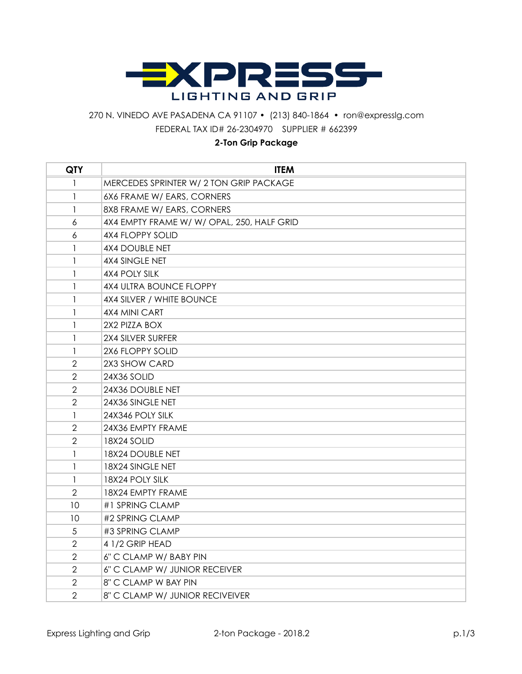

## 270 N. VINEDO AVE PASADENA CA 91107 • (213) 840-1864 • ron@expresslg.com FEDERAL TAX ID# 26-2304970 SUPPLIER # 662399

## **2-Ton Grip Package**

| <b>QTY</b>     | <b>ITEM</b>                                |
|----------------|--------------------------------------------|
| 1              | MERCEDES SPRINTER W/ 2 TON GRIP PACKAGE    |
| 1              | 6X6 FRAME W/ EARS, CORNERS                 |
| 1              | 8X8 FRAME W/ EARS, CORNERS                 |
| 6              | 4X4 EMPTY FRAME W/ W/ OPAL, 250, HALF GRID |
| 6              | <b>4X4 FLOPPY SOLID</b>                    |
| 1              | <b>4X4 DOUBLE NET</b>                      |
| 1              | 4X4 SINGLE NET                             |
| 1              | 4X4 POLY SILK                              |
| 1              | 4X4 ULTRA BOUNCE FLOPPY                    |
| 1              | 4X4 SILVER / WHITE BOUNCE                  |
| 1              | 4X4 MINI CART                              |
| $\mathbf{1}$   | 2X2 PIZZA BOX                              |
| 1              | 2X4 SILVER SURFER                          |
| 1              | 2X6 FLOPPY SOLID                           |
| 2              | 2X3 SHOW CARD                              |
| $\overline{2}$ | 24X36 SOLID                                |
| $\overline{2}$ | 24X36 DOUBLE NET                           |
| $\overline{2}$ | 24X36 SINGLE NET                           |
| 1              | 24X346 POLY SILK                           |
| $\overline{2}$ | 24X36 EMPTY FRAME                          |
| $\overline{2}$ | 18X24 SOLID                                |
| 1              | 18X24 DOUBLE NET                           |
| 1              | 18X24 SINGLE NET                           |
| 1              | 18X24 POLY SILK                            |
| $\overline{2}$ | 18X24 EMPTY FRAME                          |
| 10             | #1 SPRING CLAMP                            |
| 10             | #2 SPRING CLAMP                            |
| 5              | #3 SPRING CLAMP                            |
| $\overline{2}$ | 4 1/2 GRIP HEAD                            |
| $\overline{2}$ | 6" C CLAMP W/ BABY PIN                     |
| $\overline{2}$ | 6" C CLAMP W/ JUNIOR RECEIVER              |
| $\overline{2}$ | 8" C CLAMP W BAY PIN                       |
| $\overline{2}$ | 8" C CLAMP W/ JUNIOR RECIVEIVER            |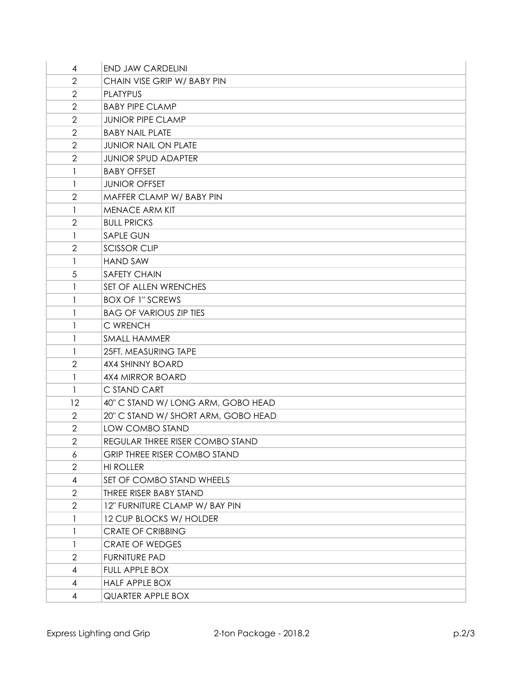| 4                        | <b>END JAW CARDELINI</b>            |
|--------------------------|-------------------------------------|
| $\overline{2}$           | CHAIN VISE GRIP W/ BABY PIN         |
| $\overline{2}$           | <b>PLATYPUS</b>                     |
| $\overline{2}$           | <b>BABY PIPE CLAMP</b>              |
| $\mathbf{2}$             | <b>JUNIOR PIPE CLAMP</b>            |
| $\overline{2}$           | <b>BABY NAIL PLATE</b>              |
| $\overline{2}$           | <b>JUNIOR NAIL ON PLATE</b>         |
| $\overline{2}$           | <b>JUNIOR SPUD ADAPTER</b>          |
| 1                        | <b>BABY OFFSET</b>                  |
| 1                        | <b>JUNIOR OFFSET</b>                |
| $\overline{2}$           | MAFFER CLAMP W/ BABY PIN            |
| 1                        | <b>MENACE ARM KIT</b>               |
| $\overline{2}$           | <b>BULL PRICKS</b>                  |
| 1                        | <b>SAPLE GUN</b>                    |
| $\overline{2}$           | <b>SCISSOR CLIP</b>                 |
| 1                        | <b>HAND SAW</b>                     |
| 5                        | <b>SAFETY CHAIN</b>                 |
| 1                        | SET OF ALLEN WRENCHES               |
| 1                        | <b>BOX OF 1" SCREWS</b>             |
| 1                        | <b>BAG OF VARIOUS ZIP TIES</b>      |
| 1                        | C WRENCH                            |
| 1                        | SMALL HAMMER                        |
| $\mathbf{1}$             | 25FT. MEASURING TAPE                |
| $\mathbf{2}$             | 4X4 SHINNY BOARD                    |
| 1                        | <b>4X4 MIRROR BOARD</b>             |
| 1                        | C STAND CART                        |
| 12                       | 40" C STAND W/ LONG ARM, GOBO HEAD  |
| $\overline{2}$           | 20" C STAND W/ SHORT ARM, GOBO HEAD |
| $\overline{2}$           | LOW COMBO STAND                     |
| $\overline{2}$           | REGULAR THREE RISER COMBO STAND     |
| 6                        | <b>GRIP THREE RISER COMBO STAND</b> |
| 2                        | <b>HI ROLLER</b>                    |
| 4                        | SET OF COMBO STAND WHEELS           |
| 2                        | THREE RISER BABY STAND              |
| $\overline{2}$           | 12" FURNITURE CLAMP W/ BAY PIN      |
| 1                        | 12 CUP BLOCKS W/ HOLDER             |
| 1                        | <b>CRATE OF CRIBBING</b>            |
| 1                        | <b>CRATE OF WEDGES</b>              |
| $\overline{2}$           | <b>FURNITURE PAD</b>                |
| 4                        | FULL APPLE BOX                      |
| $\overline{\mathcal{A}}$ | <b>HALF APPLE BOX</b>               |
| 4                        | QUARTER APPLE BOX                   |